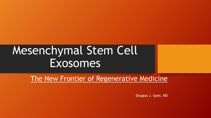# Mesenchymal Stem Cell Exosomes

The New Frontier of Regenerative Medicine

Douglas J. Spiel, MD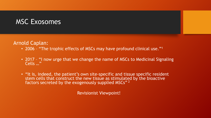#### MSC Exosomes

Arnold Caplan:

- 2006 "The trophic effects of MSCs may have profound clinical use."<sup>1</sup>
- 2017 "I now urge that we change the name of MSCs to Medicinal Signaling Cells …"
- "It is, indeed, the patient's own site-specific and tissue specific resident stem cells that construct the new tissue as stimulated by the bioactive factors secreted by the exogenously supplied MSCs"<sup>2</sup>

Revisionist Viewpoint!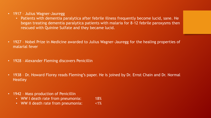- 1917 Julius Wagner-Jauregg
	- Patients with dementia paralytica after febrile illness frequently become lucid, sane. He began treating dementia paralytica patients with malaria for 8-12 febrile paroxysms then rescued with Quinine Sulfate and they became lucid.
- 1927 Nobel Prize in Medicine awarded to Julius Wagner-Jauregg for the healing properties of malarial fever
- 1928 Alexander Fleming discovers Penicillin
- 1938 Dr. Howard Florey reads Fleming's paper. He is joined by Dr. Ernst Chain and Dr. Normal **Heatley**
- 1942 Mass production of Penicillin
	- WW I death rate from pneumonia: 18%
	- WW II death rate from pneumonia: <1%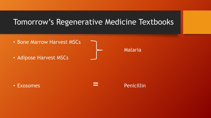#### Tomorrow's Regenerative Medicine Textbooks

- Bone Marrow Harvest MSCs
- Adipose Harvest MSCs

Malaria

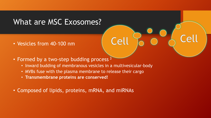### What are MSC Exosomes?

- Vesicles from 40-100 nm
- Formed by a two-step budding process<sup>3</sup>
	- Inward budding of membranous vesicles in a multivesicular-body

Cell

Cell

- MVBs fuse with the plasma membrane to release their cargo
- **Transmembrane proteins are conserved!**
- Composed of lipids, proteins, mRNA, and miRNAs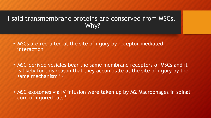#### I said transmembrane proteins are conserved from MSCs. Why?

- MSCs are recruited at the site of injury by receptor-mediated interaction
- MSC-derived vesicles bear the same membrane receptors of MSCs and it is likely for this reason that they accumulate at the site of injury by the same mechanism<sup>4,5</sup>
- MSC exosomes via IV infusion were taken up by M2 Macrophages in spinal cord of injured rats <sup>8</sup>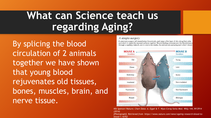# **What can Science teach us regarding Aging?**

By splicing the blood circulation of 2 animals together we have shown that young blood rejuvenates old tissues, bones, muscles, brain, and nerve tissue.

#### A simple surgery

A veterinary surgeon will anaesthetize the animals, peel away a thin layer of skin along their sides and stitch or staple the exposed surfaces together. Wound-healing processes join the bloodstreams through a capillary network, and in one to two weeks, the animals are pumping each other's blood.



*Nik Spencer/Nature; Chart Data: A. Eggel & T. Wyss-Coray Swiss Med. Wkly 144, W13914 (2014)*

*[Photograph]. Retrieved from https://www.nature.com/news/ageing-research-blood-toblood-1.16762*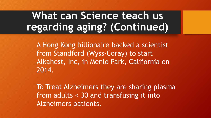# **What can Science teach us regarding aging? (Continued)**

A Hong Kong billionaire backed a scientist from Standford (Wyss-Coray) to start Alkahest, Inc, in Menlo Park, California on 2014.

To Treat Alzheimers they are sharing plasma from adults < 30 and transfusing it into Alzheimers patients.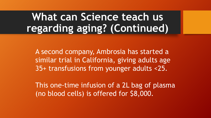# **What can Science teach us regarding aging? (Continued)**

A second company, Ambrosia has started a similar trial in California, giving adults age 35+ transfusions from younger adults <25.

This one-time infusion of a 2L bag of plasma (no blood cells) is offered for \$8,000.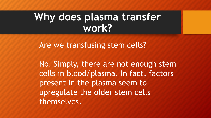## Why does plasma transfer **work?**

Are we transfusing stem cells?

No. Simply, there are not enough stem cells in blood/plasma. In fact, factors present in the plasma seem to upregulate the older stem cells themselves.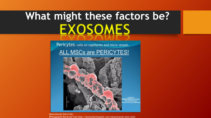# **What might these factors be? EXOSOMES**

Pericytes: cells on capillaries and micro vessels.

**ALL MSCs are PERICYTES!** 



Mesenchymal Stem Cells [Photograph] Retrieved from http://stemcellorthopedic.com/mesenchymal-stem-cells/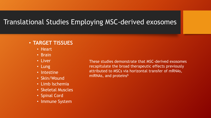#### Translational Studies Employing MSC-derived exosomes

#### • **TARGET TISSUES**

- Heart
- Brain
- Liver
- Lung
- Intestine
- Skin/Wound
- Limb Ischemia
- Skeletal Muscles
- Spinal Cord
- Immune System

These studies demonstrate that MSC-derived exosomes recapitulate the broad therapeutic effects previously attributed to MSCs via horizontal transfer of mRNAs, miRNAs, and proteins<sup>6</sup>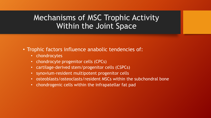### Mechanisms of MSC Trophic Activity Within the Joint Space

- Trophic factors influence anabolic tendencies of:
	- chondrocytes
	- chondrocyte progenitor cells (CPCs)
	- cartilage-derived stem/progenitor cells (CSPCs)
	- synovium-resident multipotent progenitor cells
	- osteoblasts/osteoclasts/resident MSCs within the subchondral bone
	- chondrogenic cells within the infrapatellar fat pad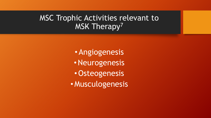### MSC Trophic Activities relevant to MSK Therapy<sup>7</sup>

• Angiogenesis •Neurogenesis •Osteogenesis • Musculogenesis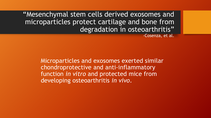"Mesenchymal stem cells derived exosomes and microparticles protect cartilage and bone from degradation in osteoarthritis"

-Cosenza, et al.

Microparticles and exosomes exerted similar chondroprotective and anti-inflammatory function *in vitro* and protected mice from developing osteoarthritis *in vivo*.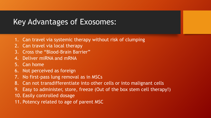#### Key Advantages of Exosomes:

- 1. Can travel via systemic therapy without risk of clumping
- 2. Can travel via local therapy
- 3. Cross the "Blood-Brain Barrier"
- 4. Deliver miRNA and mRNA
- 5. Can home
- 6. Not perceived as foreign
- 7. No first-pass lung removal as in MSCs
- 8. Can not transdifferentiate into other cells or into malignant cells
- 9. Easy to administer, store, freeze (Out of the box stem cell therapy!)
- 10. Easily controlled dosage
- 11. Potency related to age of parent MSC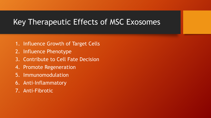### Key Therapeutic Effects of MSC Exosomes

- 1. Influence Growth of Target Cells
- 2. Influence Phenotype
- 3. Contribute to Cell Fate Decision
- 4. Promote Regeneration
- 5. Immunomodulation
- 6. Anti-Inflammatory
- 7. Anti-Fibrotic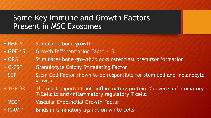### Some Key Immune and Growth Factors Present in MSC Exosomes

- BMP-5 Stimulates bone growth
- GDF-15 Growth Differentiation Factor-15
- OPG Stimulates bone growth/blocks osteoclast precursor formation
- G-CSF Granulocyte Colony Stimulating Factor
- SCF Stem Cell Factor shown to be responsible for stem cell and melanocyte growth
- TGF-B3 The most important anti-inflammatory protein. Converts inflammatory T-Cells to anti-inflammatory regulatory T cells.
- VEGF **Vascular Endothelial Growth Factor**
- ICAM-1 Binds inflammatory ligands on white cells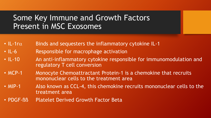### Some Key Immune and Growth Factors Present in MSC Exosomes

- IL-1r $\alpha$  Binds and sequesters the inflammatory cytokine IL-1
- IL-6 Responsible for macrophage activation
- IL-10 An anti-inflammatory cytokine responsible for immunomodulation and regulatory T cell conversion
- MCP-1 Monocyte Chemoattractant Protein-1 is a chemokine that recruits mononuclear cells to the treatment area
- MIP-1 Also known as CCL-4, this chemokine recruits mononuclear cells to the treatment area
- PDGF-BB Platelet Derived Growth Factor Beta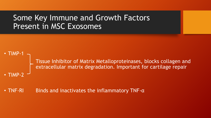#### Some Key Immune and Growth Factors Present in MSC Exosomes



#### • TNF-RI Binds and inactivates the inflammatory TNF-α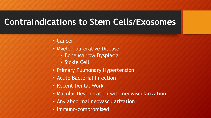### **Contraindications to Stem Cells/Exosomes**

- Cancer
- Myeloproliferative Disease
	- Bone Marrow Dysplasia
	- Sickle Cell
- Primary Pulmonary Hypertension
- Acute Bacterial Infection
- Recent Dental Work
- Macular Degeneration with neovascularization
- Any abnormal neovascularization
- Immuno-compromised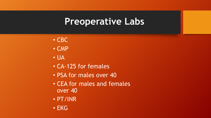### **Preoperative Labs**

- CBC
- CMP
- UA
- CA-125 for females
- PSA for males over 40
- CEA for males and females over 40
- PT/INR
- EKG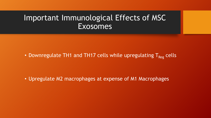#### Important Immunological Effects of MSC Exosomes

• Downregulate TH1 and TH17 cells while upregulating  $T_{Reg}$  cells

• Upregulate M2 macrophages at expense of M1 Macrophages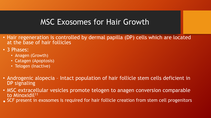### MSC Exosomes for Hair Growth

- Hair regeneration is controlled by dermal papilla (DP) cells which are located at the base of hair follicles
- 3 Phases:
	- Anagen (Growth)
	- Catagen (Apoptosis)
	- Telogen (Inactive)
- Androgenic alopecia Intact population of hair follicle stem cells deficient in DP signaling
- MSC extracellular vesicles promote telogen to anagen conversion comparable to Minoxidil<sup>11</sup>
- SCF present in exosomes is required for hair follicle creation from stem cell progenitors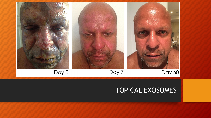

#### TOPICAL EXOSOMES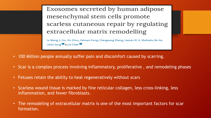Exosomes secreted by human adipose mesenchymal stem cells promote scarless cutaneous repair by regulating extracellular matrix remodelling

Lu Wang, Li Hu, Xin Zhou, Zehuan Xiong, Chenguang Zhang, Hassan M. A. Shehada, Bo Hu, Jinlin Song  $\boxtimes$  & Lili Chen  $\boxtimes$ 

- 100 Million people annually suffer pain and discomfort caused by scarring.
- Scar is a complex process involving inflammatory, proliferative , and remodeling phases
- Fetuses retain the ability to heal regeneratively without scars
- Scarless wound tissue is marked by fine reticular collagen, less cross-linking, less inflammation, and fewer fibroblasts.
- The remodeling of extracellular matrix is one of the most important factors for scar formation.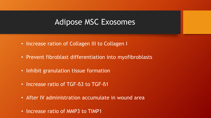#### Adipose MSC Exosomes

- Increase ration of Collagen III to Collagen I
- Prevent fibroblast differentiation into myofibroblasts
- Inhibit granulation tissue formation
- Increase ratio of TGF-B3 to TGF-B1
- After IV administration accumulate in wound area
- Increase ratio of MMP3 to TIMP1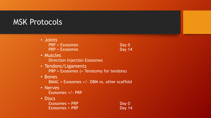#### MSK Protocols

• Joints PRP + Exosomes Day 0 PRP + Exosomes Day 14

- Muscles Direction Injection Exosomes
- Tendons/Ligaments PRP + Exosomes (+ Tenotomy for tendons)
- Bones BMAC + Exosomes +/- DBM vs. other scaffold
- Nerves

Exosomes +/- PRP

- Discs
	- Exosomes + PRP Day 0 Exosomes + PRP Day 14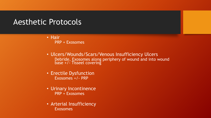#### Aesthetic Protocols

- Hair PRP + Exosomes
- Ulcers/Wounds/Scars/Venous Insufficiency Ulcers Debride, Exosomes along periphery of wound and into wound base +/- Tisseel covering
- Erectile Dysfunction Exosomes +/- PRP
- Urinary Incontinence PRP + Exosomes
- Arterial Insufficiency Exosomes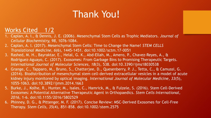### Thank You!

#### Works Cited 1/2

- 1. Caplan, A. I., & Dennis, J. E. (2006). Mesenchymal Stem Cells as Trophic Mediators. *Journal of Cellular Biochemistry, 98*, 1076-1084.
- 2. Caplan, A. I. (2017). Mesenchymal Stem Cells: Time to Change the Name! *STEM CELLS Translational Medicine, 6*(6), 1445-1451. doi:10.1002/sctm.17-0051
- 3. Rashed, M. H., Bayraktar, E., Helal, G. K., Abd-Ellah, M., Amero, P., Chavez-Reyes, A., & Rodriguez-Aguayo, C. (2017). Exosomes: From Garbage Bins to Promising Therapeutic Targets. *International Journal of Molecular Sciences, 18*(3), 538. doi:10.3390/ijms18030538
- 4. Grange, C., Tapparo, M., Bruno, S., Chatterjee, D., Quesenberry, P. J., Tetta, C., & Camussi, G. (2014). Biodistribution of mesenchymal stem cell-derived extracellular vesicles in a model of acute kidney injury monitored by optical imaging. *International Journal of Molecular Medicine, 33*(5), 1055-1063. doi:10.3892/ijmm.2014.1663
- 5. Burke, J., Kolhe, R., Hunter, M., Isales, C., Hamrick, M., & Fulzele, S. (2016). Stem Cell-Derived Exosomes: A Potential Alternative Therapeutic Agent in Orthopaedics. *Stem Cells International, 2016*, 1-6. doi:10.1155/2016/5802529
- 6. Phinney, D. G., & Pittenger, M. F. (2017). Concise Review: MSC-Derived Exosomes for Cell-Free Therapy. *Stem Cells, 35*(4), 851-858. doi:10.1002/stem.2575